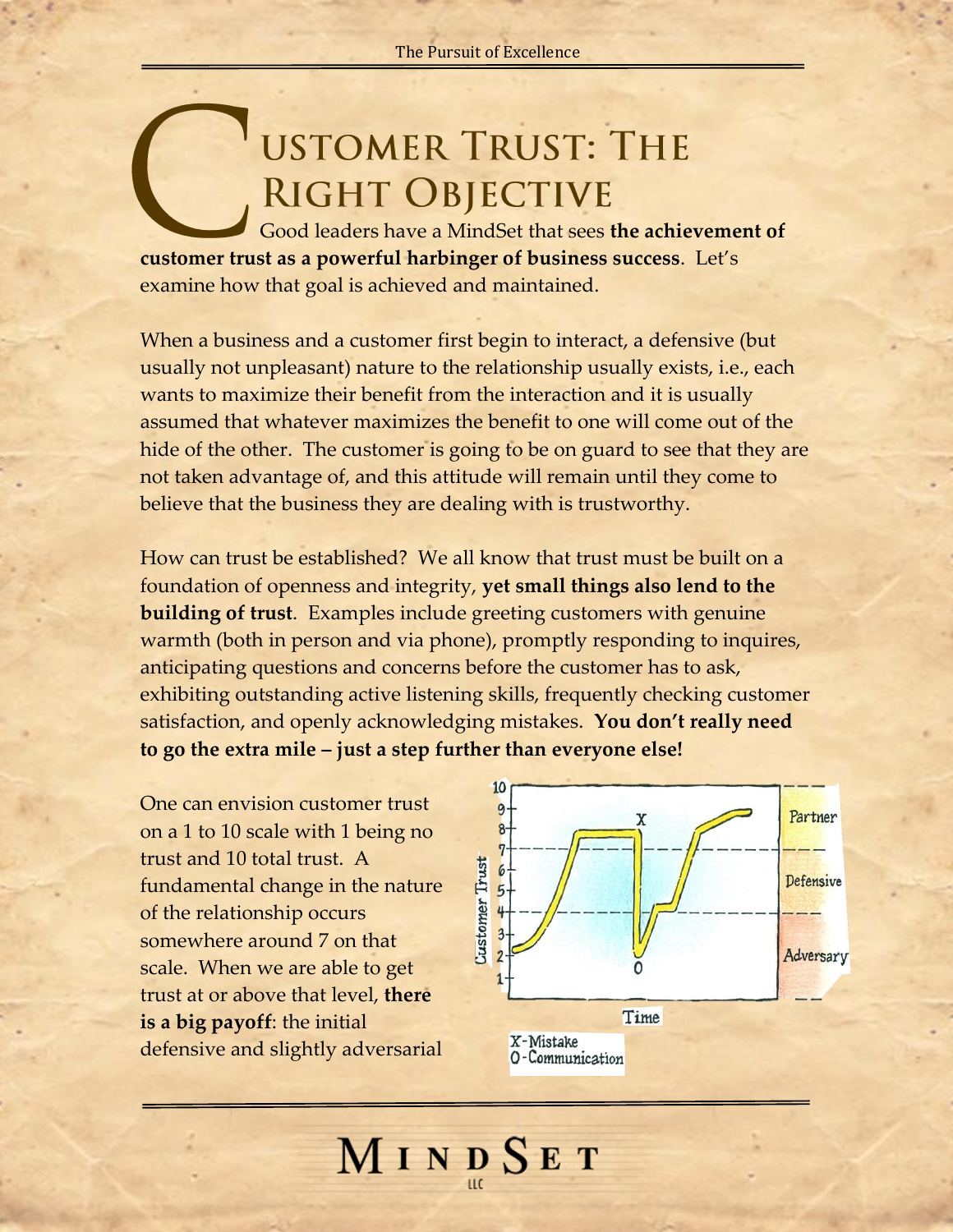## **USTOMER TRUST: THE** RIGHT OBJECTIVE

Good leaders have a MindSet that sees **the achievement of customer trust as a powerful harbinger of business success**. Let's examine how that goal is achieved and maintained.

When a business and a customer first begin to interact, a defensive (but usually not unpleasant) nature to the relationship usually exists, i.e., each wants to maximize their benefit from the interaction and it is usually assumed that whatever maximizes the benefit to one will come out of the hide of the other. The customer is going to be on guard to see that they are not taken advantage of, and this attitude will remain until they come to believe that the business they are dealing with is trustworthy.

How can trust be established? We all know that trust must be built on a foundation of openness and integrity, **yet small things also lend to the building of trust**. Examples include greeting customers with genuine warmth (both in person and via phone), promptly responding to inquires, anticipating questions and concerns before the customer has to ask, exhibiting outstanding active listening skills, frequently checking customer satisfaction, and openly acknowledging mistakes. **You don't really need to go the extra mile – just a step further than everyone else!**

MINDSET

One can envision customer trust on a 1 to 10 scale with 1 being no trust and 10 total trust. A fundamental change in the nature of the relationship occurs somewhere around 7 on that scale. When we are able to get trust at or above that level, **there is a big payoff**: the initial defensive and slightly adversarial